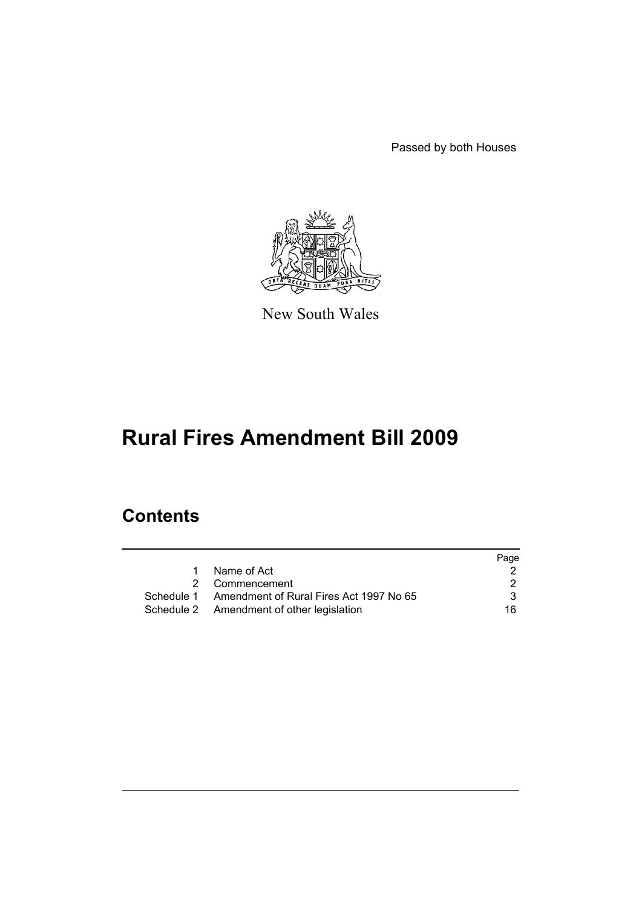Passed by both Houses



New South Wales

# **Rural Fires Amendment Bill 2009**

# **Contents**

|   |                                                    | Page |
|---|----------------------------------------------------|------|
| 1 | Name of Act                                        |      |
|   | 2 Commencement                                     | 2    |
|   | Schedule 1 Amendment of Rural Fires Act 1997 No 65 | 3.   |
|   | Schedule 2 Amendment of other legislation          | 16.  |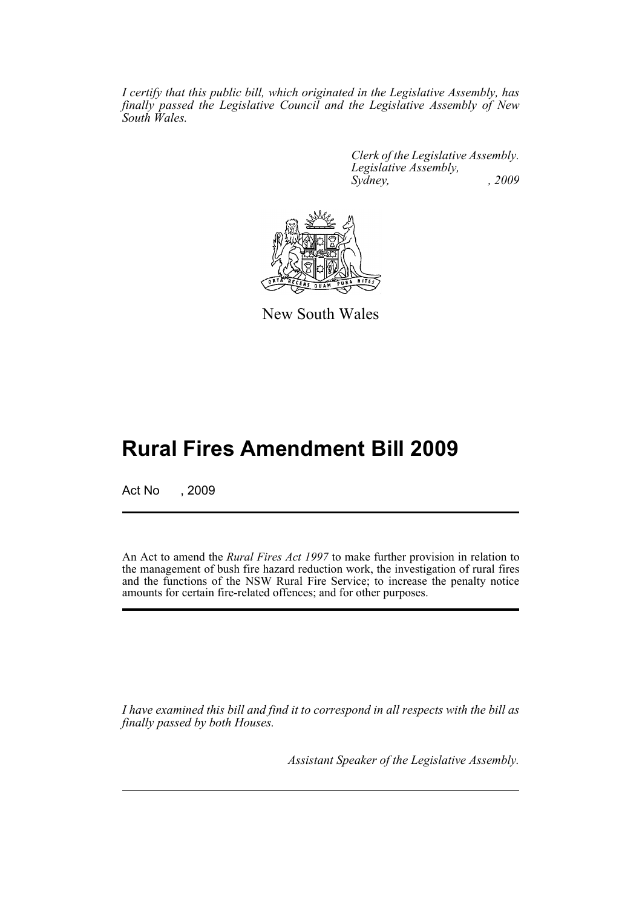*I certify that this public bill, which originated in the Legislative Assembly, has finally passed the Legislative Council and the Legislative Assembly of New South Wales.*

> *Clerk of the Legislative Assembly. Legislative Assembly, Sydney, , 2009*



New South Wales

# **Rural Fires Amendment Bill 2009**

Act No , 2009

An Act to amend the *Rural Fires Act 1997* to make further provision in relation to the management of bush fire hazard reduction work, the investigation of rural fires and the functions of the NSW Rural Fire Service; to increase the penalty notice amounts for certain fire-related offences; and for other purposes.

*I have examined this bill and find it to correspond in all respects with the bill as finally passed by both Houses.*

*Assistant Speaker of the Legislative Assembly.*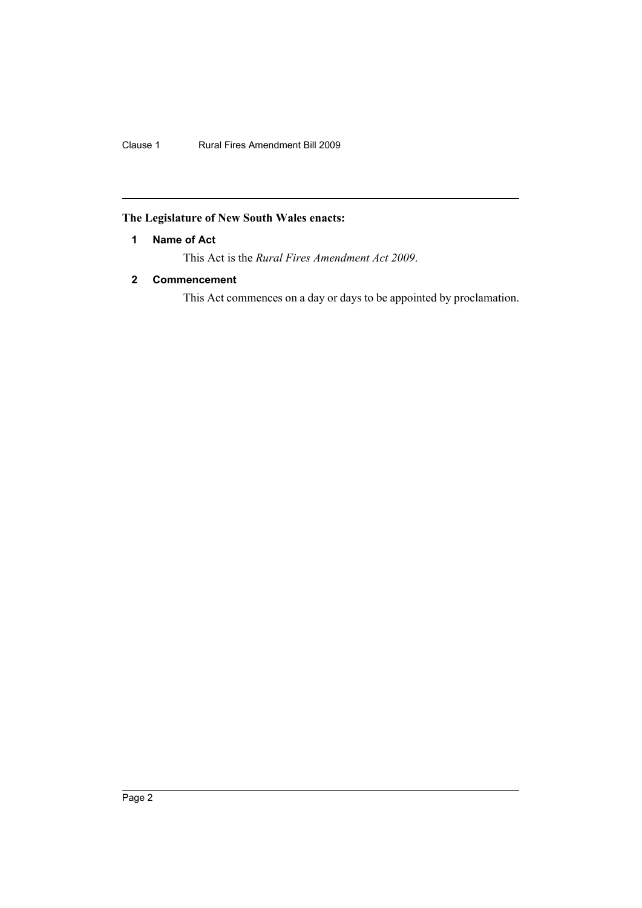# <span id="page-2-0"></span>**The Legislature of New South Wales enacts:**

## **1 Name of Act**

This Act is the *Rural Fires Amendment Act 2009*.

# <span id="page-2-1"></span>**2 Commencement**

This Act commences on a day or days to be appointed by proclamation.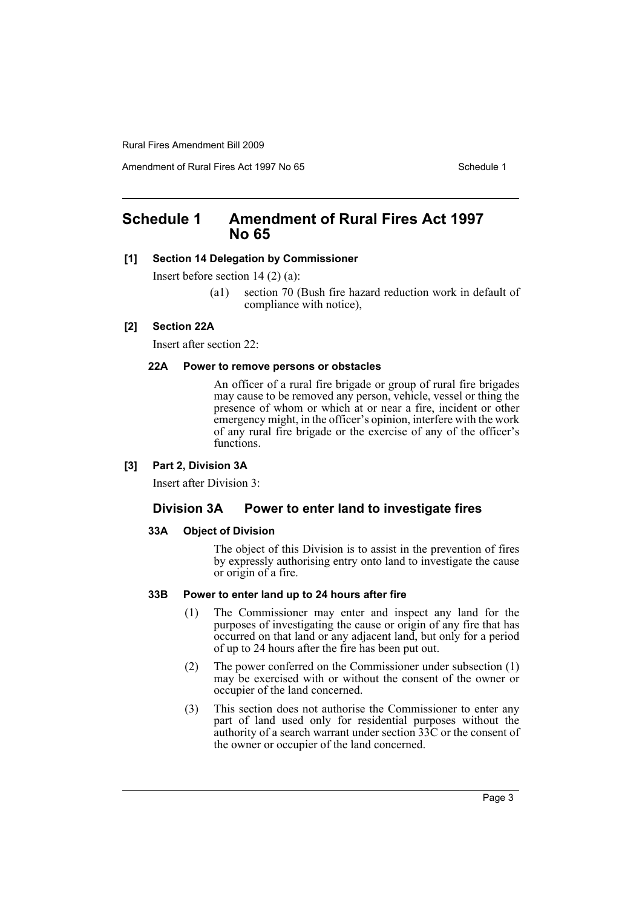Amendment of Rural Fires Act 1997 No 65 Schedule 1

# <span id="page-3-0"></span>**Schedule 1 Amendment of Rural Fires Act 1997 No 65**

#### **[1] Section 14 Delegation by Commissioner**

Insert before section 14 (2) (a):

(a1) section 70 (Bush fire hazard reduction work in default of compliance with notice),

#### **[2] Section 22A**

Insert after section 22:

#### **22A Power to remove persons or obstacles**

An officer of a rural fire brigade or group of rural fire brigades may cause to be removed any person, vehicle, vessel or thing the presence of whom or which at or near a fire, incident or other emergency might, in the officer's opinion, interfere with the work of any rural fire brigade or the exercise of any of the officer's functions.

#### **[3] Part 2, Division 3A**

Insert after Division 3:

# **Division 3A Power to enter land to investigate fires**

#### **33A Object of Division**

The object of this Division is to assist in the prevention of fires by expressly authorising entry onto land to investigate the cause or origin of a fire.

#### **33B Power to enter land up to 24 hours after fire**

- (1) The Commissioner may enter and inspect any land for the purposes of investigating the cause or origin of any fire that has occurred on that land or any adjacent land, but only for a period of up to 24 hours after the fire has been put out.
- (2) The power conferred on the Commissioner under subsection (1) may be exercised with or without the consent of the owner or occupier of the land concerned.
- (3) This section does not authorise the Commissioner to enter any part of land used only for residential purposes without the authority of a search warrant under section 33C or the consent of the owner or occupier of the land concerned.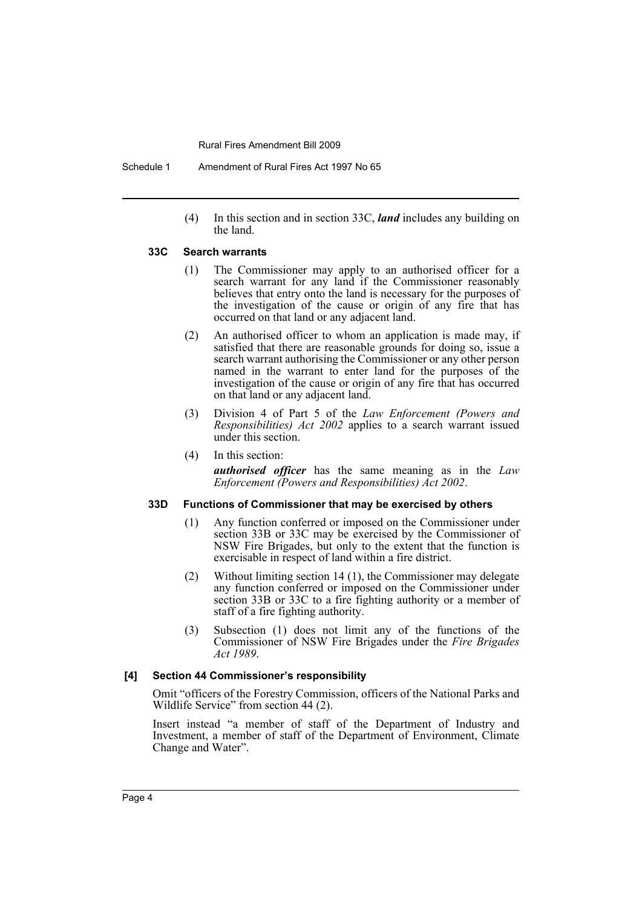(4) In this section and in section 33C, *land* includes any building on the land.

#### **33C Search warrants**

- (1) The Commissioner may apply to an authorised officer for a search warrant for any land if the Commissioner reasonably believes that entry onto the land is necessary for the purposes of the investigation of the cause or origin of any fire that has occurred on that land or any adjacent land.
- (2) An authorised officer to whom an application is made may, if satisfied that there are reasonable grounds for doing so, issue a search warrant authorising the Commissioner or any other person named in the warrant to enter land for the purposes of the investigation of the cause or origin of any fire that has occurred on that land or any adjacent land.
- (3) Division 4 of Part 5 of the *Law Enforcement (Powers and Responsibilities) Act 2002* applies to a search warrant issued under this section.
- (4) In this section: *authorised officer* has the same meaning as in the *Law Enforcement (Powers and Responsibilities) Act 2002*.

#### **33D Functions of Commissioner that may be exercised by others**

- (1) Any function conferred or imposed on the Commissioner under section 33B or 33C may be exercised by the Commissioner of NSW Fire Brigades, but only to the extent that the function is exercisable in respect of land within a fire district.
- (2) Without limiting section 14 (1), the Commissioner may delegate any function conferred or imposed on the Commissioner under section 33B or 33C to a fire fighting authority or a member of staff of a fire fighting authority.
- (3) Subsection (1) does not limit any of the functions of the Commissioner of NSW Fire Brigades under the *Fire Brigades Act 1989*.

#### **[4] Section 44 Commissioner's responsibility**

Omit "officers of the Forestry Commission, officers of the National Parks and Wildlife Service" from section 44 (2).

Insert instead "a member of staff of the Department of Industry and Investment, a member of staff of the Department of Environment, Climate Change and Water".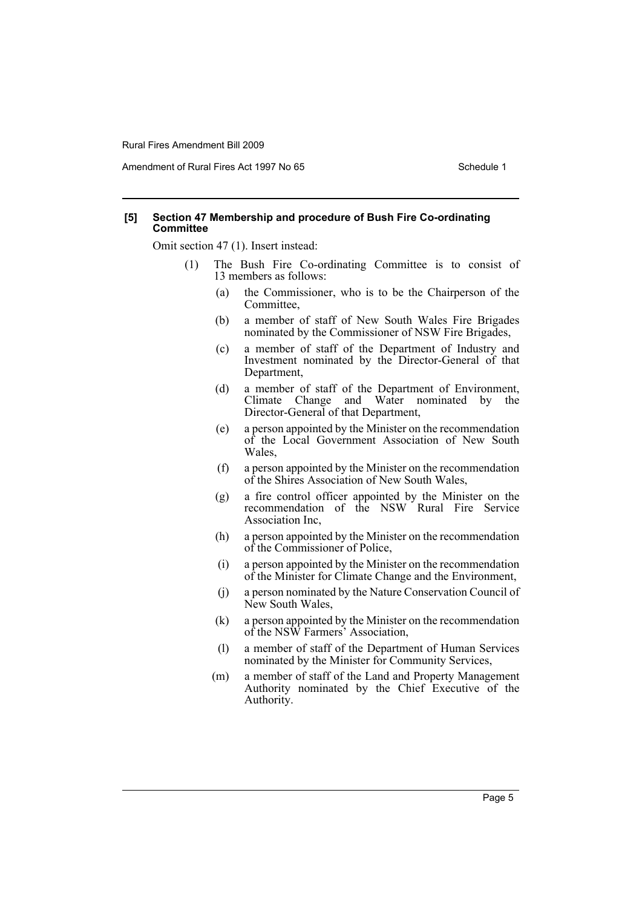Amendment of Rural Fires Act 1997 No 65 Schedule 1

#### **[5] Section 47 Membership and procedure of Bush Fire Co-ordinating Committee**

Omit section 47 (1). Insert instead:

- (1) The Bush Fire Co-ordinating Committee is to consist of 13 members as follows:
	- (a) the Commissioner, who is to be the Chairperson of the Committee,
	- (b) a member of staff of New South Wales Fire Brigades nominated by the Commissioner of NSW Fire Brigades,
	- (c) a member of staff of the Department of Industry and Investment nominated by the Director-General of that Department,
	- (d) a member of staff of the Department of Environment, Climate Change and Water nominated by the Director-General of that Department,
	- (e) a person appointed by the Minister on the recommendation of the Local Government Association of New South Wales,
	- (f) a person appointed by the Minister on the recommendation of the Shires Association of New South Wales,
	- (g) a fire control officer appointed by the Minister on the recommendation of the NSW Rural Fire Service Association Inc,
	- (h) a person appointed by the Minister on the recommendation of the Commissioner of Police,
	- (i) a person appointed by the Minister on the recommendation of the Minister for Climate Change and the Environment,
	- (j) a person nominated by the Nature Conservation Council of New South Wales,
	- (k) a person appointed by the Minister on the recommendation of the NSW Farmers' Association,
	- (l) a member of staff of the Department of Human Services nominated by the Minister for Community Services,
	- (m) a member of staff of the Land and Property Management Authority nominated by the Chief Executive of the Authority.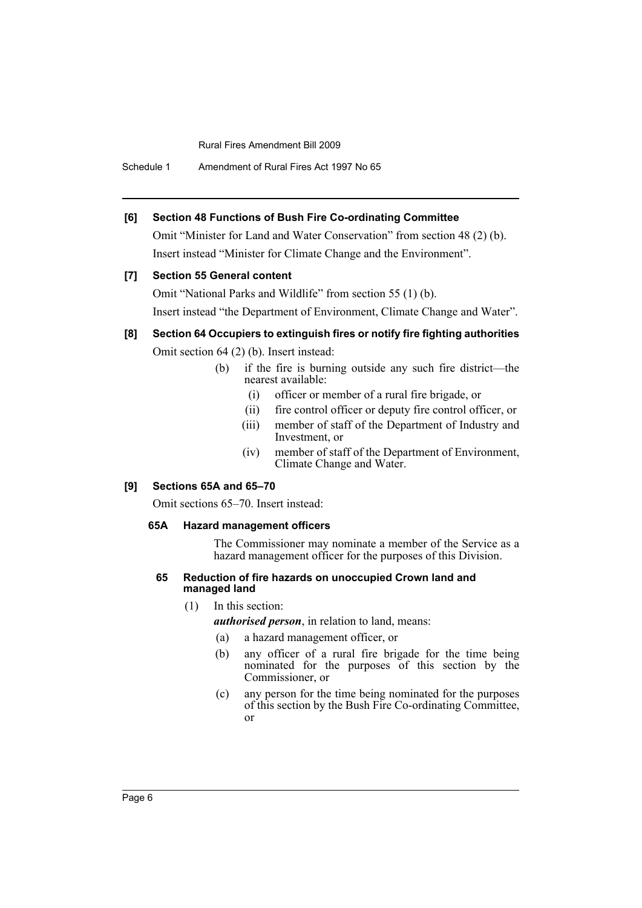Schedule 1 Amendment of Rural Fires Act 1997 No 65

## **[6] Section 48 Functions of Bush Fire Co-ordinating Committee**

Omit "Minister for Land and Water Conservation" from section 48 (2) (b). Insert instead "Minister for Climate Change and the Environment".

## **[7] Section 55 General content**

Omit "National Parks and Wildlife" from section 55 (1) (b). Insert instead "the Department of Environment, Climate Change and Water".

# **[8] Section 64 Occupiers to extinguish fires or notify fire fighting authorities**

Omit section 64 (2) (b). Insert instead:

- (b) if the fire is burning outside any such fire district—the nearest available:
	- (i) officer or member of a rural fire brigade, or
	- (ii) fire control officer or deputy fire control officer, or
	- (iii) member of staff of the Department of Industry and Investment, or
	- (iv) member of staff of the Department of Environment, Climate Change and Water.

## **[9] Sections 65A and 65–70**

Omit sections 65–70. Insert instead:

## **65A Hazard management officers**

The Commissioner may nominate a member of the Service as a hazard management officer for the purposes of this Division.

#### **65 Reduction of fire hazards on unoccupied Crown land and managed land**

(1) In this section:

*authorised person*, in relation to land, means:

- (a) a hazard management officer, or
- (b) any officer of a rural fire brigade for the time being nominated for the purposes of this section by the Commissioner, or
- (c) any person for the time being nominated for the purposes of this section by the Bush Fire Co-ordinating Committee, or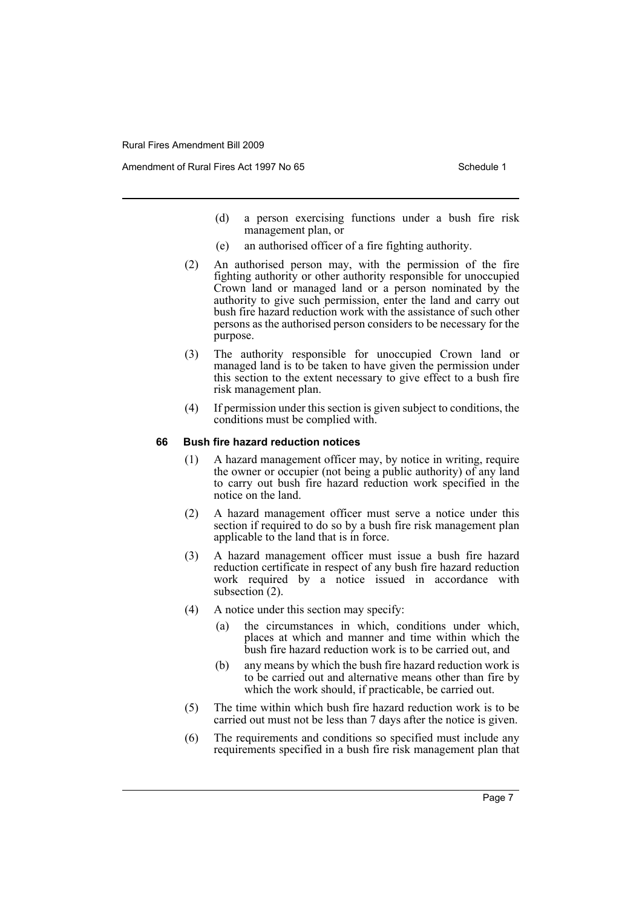Amendment of Rural Fires Act 1997 No 65 Schedule 1

- (d) a person exercising functions under a bush fire risk management plan, or
- (e) an authorised officer of a fire fighting authority.
- (2) An authorised person may, with the permission of the fire fighting authority or other authority responsible for unoccupied Crown land or managed land or a person nominated by the authority to give such permission, enter the land and carry out bush fire hazard reduction work with the assistance of such other persons as the authorised person considers to be necessary for the purpose.
- (3) The authority responsible for unoccupied Crown land or managed land is to be taken to have given the permission under this section to the extent necessary to give effect to a bush fire risk management plan.
- (4) If permission under this section is given subject to conditions, the conditions must be complied with.

#### **66 Bush fire hazard reduction notices**

- (1) A hazard management officer may, by notice in writing, require the owner or occupier (not being a public authority) of any land to carry out bush fire hazard reduction work specified in the notice on the land.
- (2) A hazard management officer must serve a notice under this section if required to do so by a bush fire risk management plan applicable to the land that is in force.
- (3) A hazard management officer must issue a bush fire hazard reduction certificate in respect of any bush fire hazard reduction work required by a notice issued in accordance with subsection (2).
- (4) A notice under this section may specify:
	- (a) the circumstances in which, conditions under which, places at which and manner and time within which the bush fire hazard reduction work is to be carried out, and
	- (b) any means by which the bush fire hazard reduction work is to be carried out and alternative means other than fire by which the work should, if practicable, be carried out.
- (5) The time within which bush fire hazard reduction work is to be carried out must not be less than 7 days after the notice is given.
- (6) The requirements and conditions so specified must include any requirements specified in a bush fire risk management plan that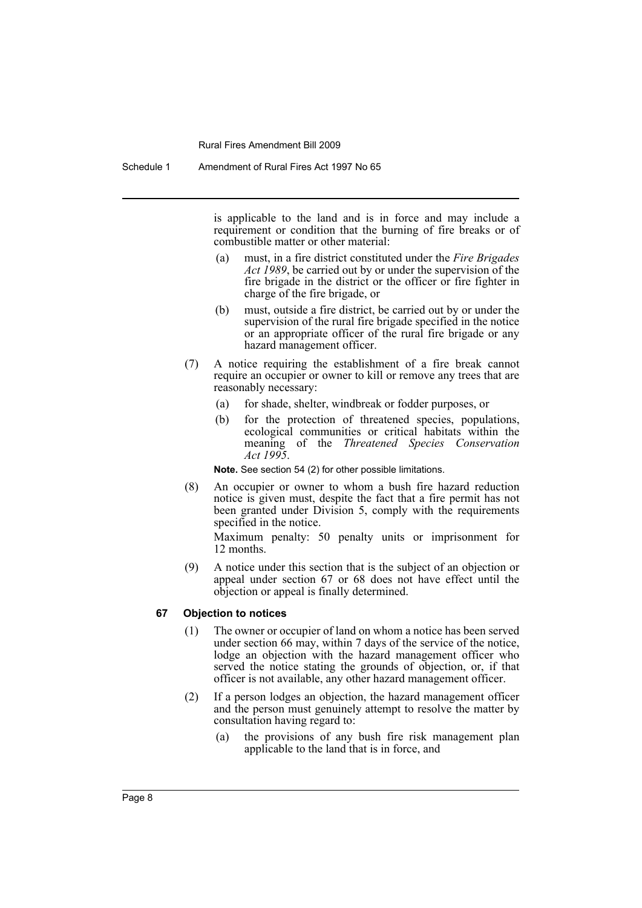is applicable to the land and is in force and may include a requirement or condition that the burning of fire breaks or of combustible matter or other material:

- (a) must, in a fire district constituted under the *Fire Brigades Act 1989*, be carried out by or under the supervision of the fire brigade in the district or the officer or fire fighter in charge of the fire brigade, or
- (b) must, outside a fire district, be carried out by or under the supervision of the rural fire brigade specified in the notice or an appropriate officer of the rural fire brigade or any hazard management officer.
- (7) A notice requiring the establishment of a fire break cannot require an occupier or owner to kill or remove any trees that are reasonably necessary:
	- (a) for shade, shelter, windbreak or fodder purposes, or
	- (b) for the protection of threatened species, populations, ecological communities or critical habitats within the meaning of the *Threatened Species Conservation Act 1995*.

**Note.** See section 54 (2) for other possible limitations.

(8) An occupier or owner to whom a bush fire hazard reduction notice is given must, despite the fact that a fire permit has not been granted under Division 5, comply with the requirements specified in the notice.

Maximum penalty: 50 penalty units or imprisonment for 12 months.

(9) A notice under this section that is the subject of an objection or appeal under section 67 or 68 does not have effect until the objection or appeal is finally determined.

#### **67 Objection to notices**

- (1) The owner or occupier of land on whom a notice has been served under section 66 may, within 7 days of the service of the notice, lodge an objection with the hazard management officer who served the notice stating the grounds of objection, or, if that officer is not available, any other hazard management officer.
- (2) If a person lodges an objection, the hazard management officer and the person must genuinely attempt to resolve the matter by consultation having regard to:
	- (a) the provisions of any bush fire risk management plan applicable to the land that is in force, and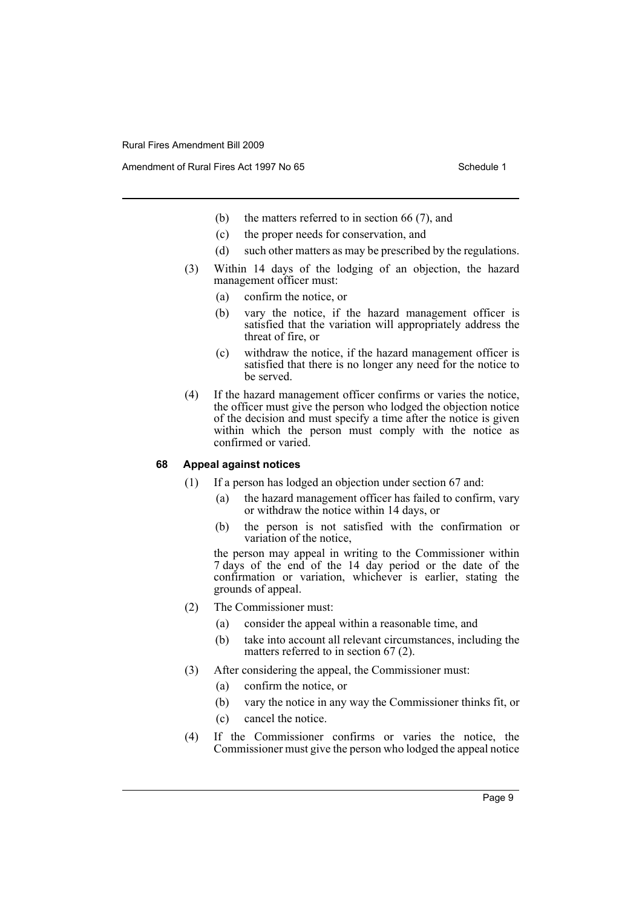Amendment of Rural Fires Act 1997 No 65 Schedule 1

- (b) the matters referred to in section 66 (7), and
- (c) the proper needs for conservation, and
- (d) such other matters as may be prescribed by the regulations.
- (3) Within 14 days of the lodging of an objection, the hazard management officer must:
	- (a) confirm the notice, or
	- (b) vary the notice, if the hazard management officer is satisfied that the variation will appropriately address the threat of fire, or
	- (c) withdraw the notice, if the hazard management officer is satisfied that there is no longer any need for the notice to be served.
- (4) If the hazard management officer confirms or varies the notice, the officer must give the person who lodged the objection notice of the decision and must specify a time after the notice is given within which the person must comply with the notice as confirmed or varied.

#### **68 Appeal against notices**

- (1) If a person has lodged an objection under section 67 and:
	- (a) the hazard management officer has failed to confirm, vary or withdraw the notice within 14 days, or
	- (b) the person is not satisfied with the confirmation or variation of the notice,

the person may appeal in writing to the Commissioner within 7 days of the end of the 14 day period or the date of the confirmation or variation, whichever is earlier, stating the grounds of appeal.

- (2) The Commissioner must:
	- (a) consider the appeal within a reasonable time, and
	- (b) take into account all relevant circumstances, including the matters referred to in section 67 (2).
- (3) After considering the appeal, the Commissioner must:
	- (a) confirm the notice, or
	- (b) vary the notice in any way the Commissioner thinks fit, or
	- (c) cancel the notice.
- (4) If the Commissioner confirms or varies the notice, the Commissioner must give the person who lodged the appeal notice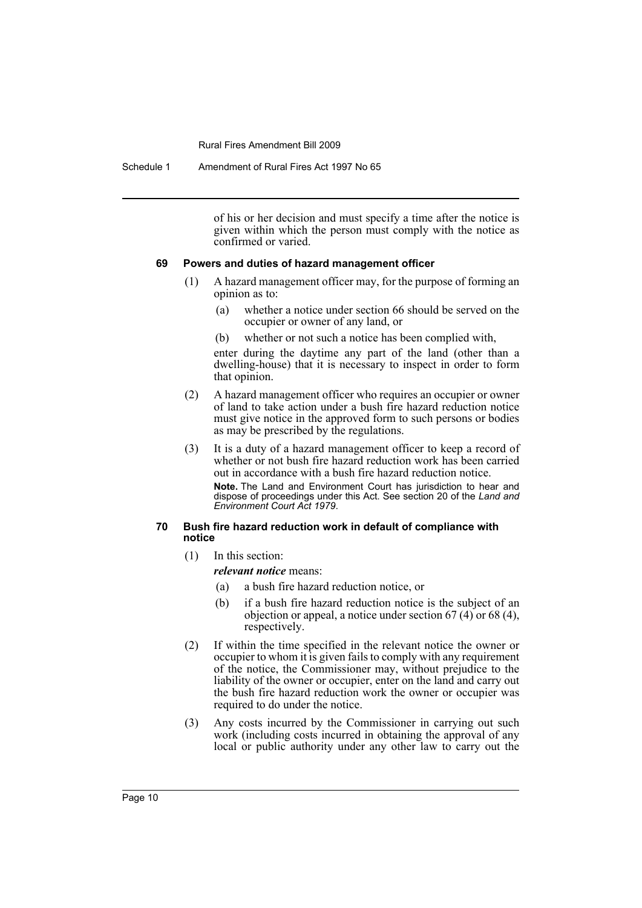Schedule 1 Amendment of Rural Fires Act 1997 No 65

of his or her decision and must specify a time after the notice is given within which the person must comply with the notice as confirmed or varied.

#### **69 Powers and duties of hazard management officer**

- (1) A hazard management officer may, for the purpose of forming an opinion as to:
	- (a) whether a notice under section 66 should be served on the occupier or owner of any land, or
	- (b) whether or not such a notice has been complied with,

enter during the daytime any part of the land (other than a dwelling-house) that it is necessary to inspect in order to form that opinion.

- (2) A hazard management officer who requires an occupier or owner of land to take action under a bush fire hazard reduction notice must give notice in the approved form to such persons or bodies as may be prescribed by the regulations.
- (3) It is a duty of a hazard management officer to keep a record of whether or not bush fire hazard reduction work has been carried out in accordance with a bush fire hazard reduction notice.

**Note.** The Land and Environment Court has jurisdiction to hear and dispose of proceedings under this Act. See section 20 of the *Land and Environment Court Act 1979*.

#### **70 Bush fire hazard reduction work in default of compliance with notice**

(1) In this section:

*relevant notice* means:

- (a) a bush fire hazard reduction notice, or
- (b) if a bush fire hazard reduction notice is the subject of an objection or appeal, a notice under section 67 (4) or 68 (4), respectively.
- (2) If within the time specified in the relevant notice the owner or occupier to whom it is given fails to comply with any requirement of the notice, the Commissioner may, without prejudice to the liability of the owner or occupier, enter on the land and carry out the bush fire hazard reduction work the owner or occupier was required to do under the notice.
- (3) Any costs incurred by the Commissioner in carrying out such work (including costs incurred in obtaining the approval of any local or public authority under any other law to carry out the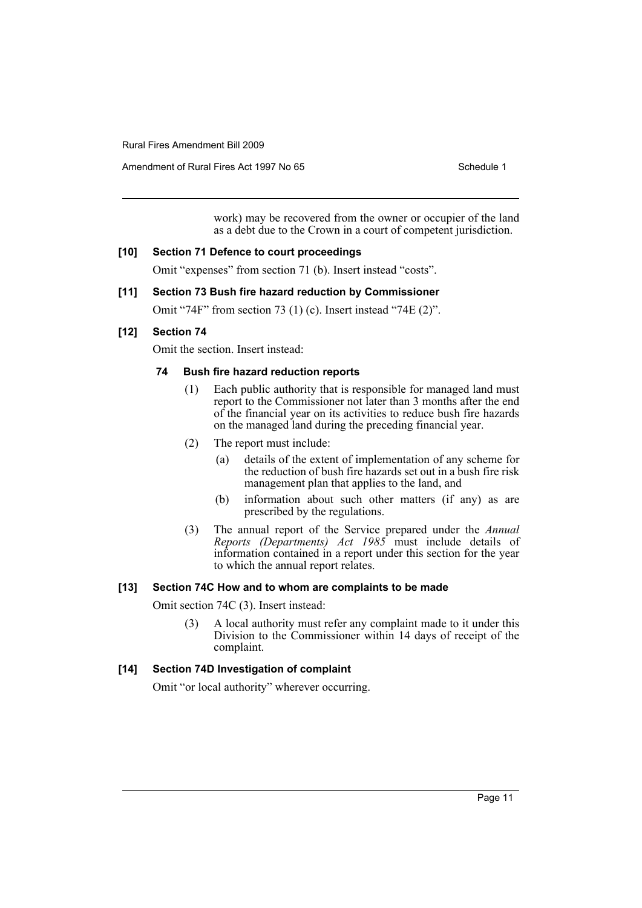Amendment of Rural Fires Act 1997 No 65 Schedule 1

work) may be recovered from the owner or occupier of the land as a debt due to the Crown in a court of competent jurisdiction.

#### **[10] Section 71 Defence to court proceedings**

Omit "expenses" from section 71 (b). Insert instead "costs".

## **[11] Section 73 Bush fire hazard reduction by Commissioner**

Omit "74F" from section 73 (1) (c). Insert instead "74E (2)".

## **[12] Section 74**

Omit the section. Insert instead:

#### **74 Bush fire hazard reduction reports**

- (1) Each public authority that is responsible for managed land must report to the Commissioner not later than 3 months after the end of the financial year on its activities to reduce bush fire hazards on the managed land during the preceding financial year.
- (2) The report must include:
	- (a) details of the extent of implementation of any scheme for the reduction of bush fire hazards set out in a bush fire risk management plan that applies to the land, and
	- (b) information about such other matters (if any) as are prescribed by the regulations.
- (3) The annual report of the Service prepared under the *Annual Reports (Departments) Act 1985* must include details of information contained in a report under this section for the year to which the annual report relates.

## **[13] Section 74C How and to whom are complaints to be made**

Omit section 74C (3). Insert instead:

(3) A local authority must refer any complaint made to it under this Division to the Commissioner within 14 days of receipt of the complaint.

## **[14] Section 74D Investigation of complaint**

Omit "or local authority" wherever occurring.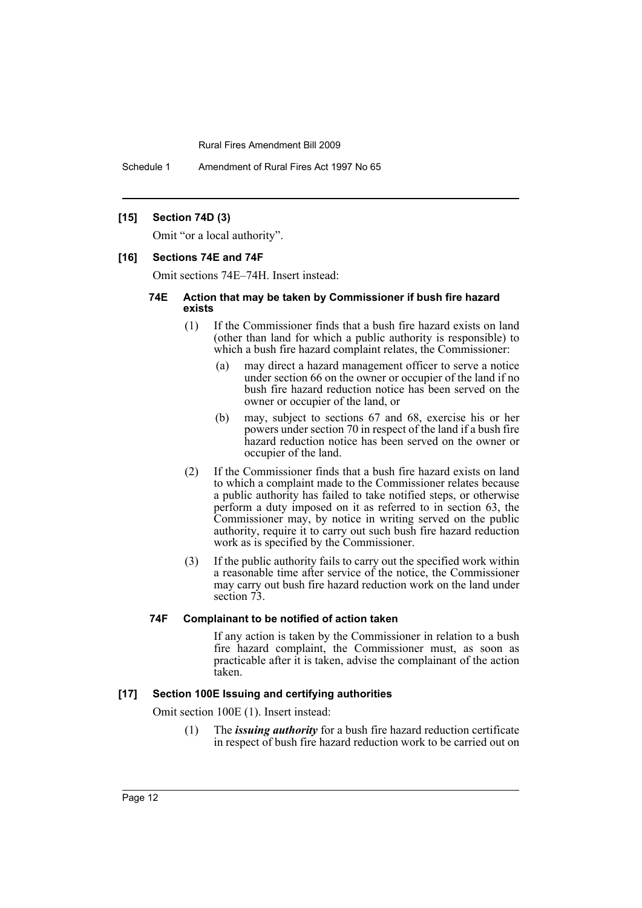Schedule 1 Amendment of Rural Fires Act 1997 No 65

#### **[15] Section 74D (3)**

Omit "or a local authority".

#### **[16] Sections 74E and 74F**

Omit sections 74E–74H. Insert instead:

#### **74E Action that may be taken by Commissioner if bush fire hazard exists**

- (1) If the Commissioner finds that a bush fire hazard exists on land (other than land for which a public authority is responsible) to which a bush fire hazard complaint relates, the Commissioner:
	- (a) may direct a hazard management officer to serve a notice under section 66 on the owner or occupier of the land if no bush fire hazard reduction notice has been served on the owner or occupier of the land, or
	- (b) may, subject to sections 67 and 68, exercise his or her powers under section 70 in respect of the land if a bush fire hazard reduction notice has been served on the owner or occupier of the land.
- (2) If the Commissioner finds that a bush fire hazard exists on land to which a complaint made to the Commissioner relates because a public authority has failed to take notified steps, or otherwise perform a duty imposed on it as referred to in section 63, the Commissioner may, by notice in writing served on the public authority, require it to carry out such bush fire hazard reduction work as is specified by the Commissioner.
- (3) If the public authority fails to carry out the specified work within a reasonable time after service of the notice, the Commissioner may carry out bush fire hazard reduction work on the land under section  $\overline{73}$ .

#### **74F Complainant to be notified of action taken**

If any action is taken by the Commissioner in relation to a bush fire hazard complaint, the Commissioner must, as soon as practicable after it is taken, advise the complainant of the action taken.

#### **[17] Section 100E Issuing and certifying authorities**

Omit section 100E (1). Insert instead:

(1) The *issuing authority* for a bush fire hazard reduction certificate in respect of bush fire hazard reduction work to be carried out on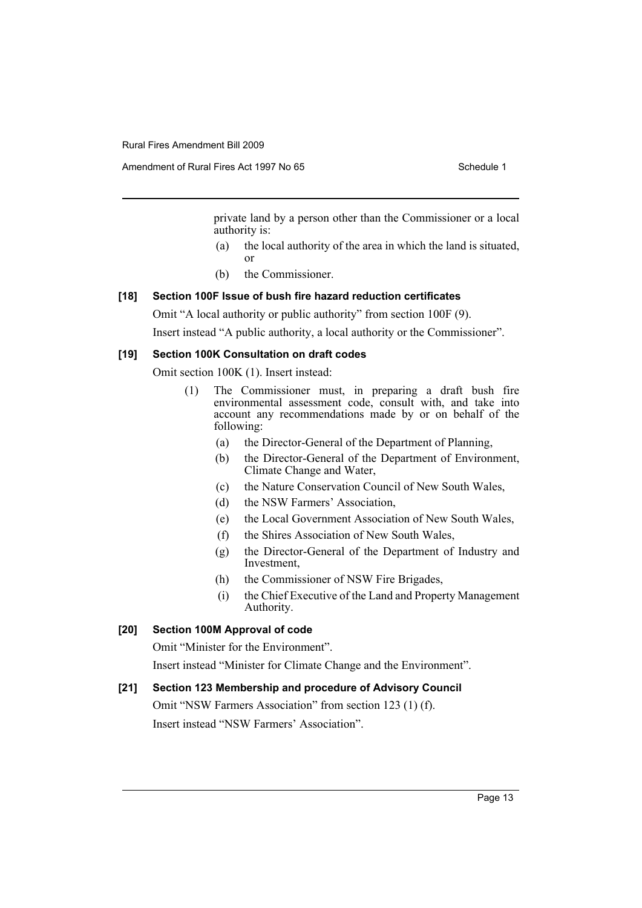Amendment of Rural Fires Act 1997 No 65 Schedule 1

private land by a person other than the Commissioner or a local authority is:

- (a) the local authority of the area in which the land is situated, or
- (b) the Commissioner.

#### **[18] Section 100F Issue of bush fire hazard reduction certificates**

Omit "A local authority or public authority" from section 100F (9).

Insert instead "A public authority, a local authority or the Commissioner".

#### **[19] Section 100K Consultation on draft codes**

Omit section 100K (1). Insert instead:

- (1) The Commissioner must, in preparing a draft bush fire environmental assessment code, consult with, and take into account any recommendations made by or on behalf of the following:
	- (a) the Director-General of the Department of Planning,
	- (b) the Director-General of the Department of Environment, Climate Change and Water,
	- (c) the Nature Conservation Council of New South Wales,
	- (d) the NSW Farmers' Association,
	- (e) the Local Government Association of New South Wales,
	- (f) the Shires Association of New South Wales,
	- (g) the Director-General of the Department of Industry and Investment,
	- (h) the Commissioner of NSW Fire Brigades,
	- (i) the Chief Executive of the Land and Property Management Authority.

#### **[20] Section 100M Approval of code**

Omit "Minister for the Environment".

Insert instead "Minister for Climate Change and the Environment".

#### **[21] Section 123 Membership and procedure of Advisory Council**

Omit "NSW Farmers Association" from section 123 (1) (f). Insert instead "NSW Farmers' Association".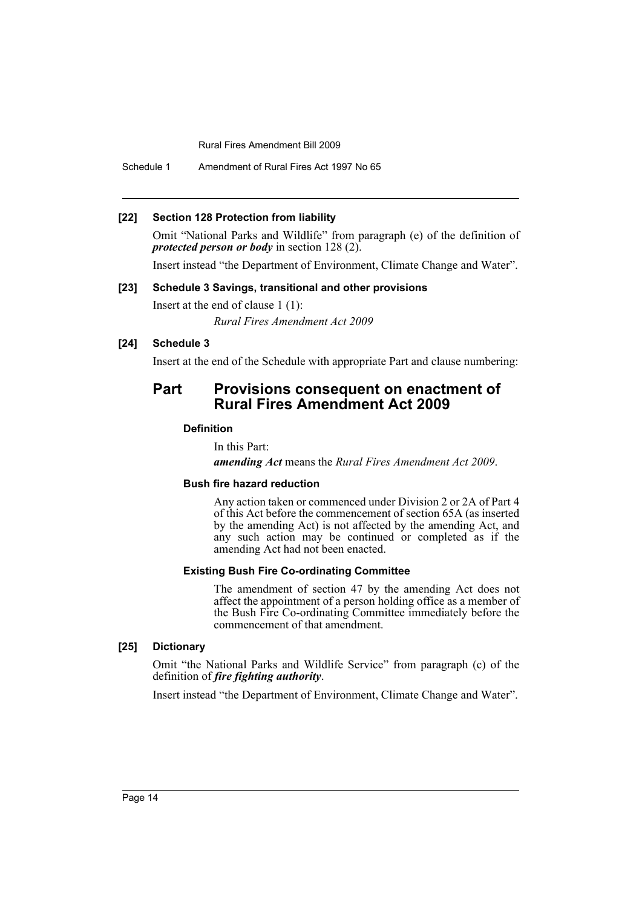Schedule 1 Amendment of Rural Fires Act 1997 No 65

#### **[22] Section 128 Protection from liability**

Omit "National Parks and Wildlife" from paragraph (e) of the definition of *protected person or body* in section 128 (2).

Insert instead "the Department of Environment, Climate Change and Water".

#### **[23] Schedule 3 Savings, transitional and other provisions**

Insert at the end of clause 1 (1): *Rural Fires Amendment Act 2009*

#### **[24] Schedule 3**

Insert at the end of the Schedule with appropriate Part and clause numbering:

# **Part Provisions consequent on enactment of Rural Fires Amendment Act 2009**

#### **Definition**

In this Part: *amending Act* means the *Rural Fires Amendment Act 2009*.

## **Bush fire hazard reduction**

Any action taken or commenced under Division 2 or 2A of Part 4 of this Act before the commencement of section 65A (as inserted by the amending Act) is not affected by the amending Act, and any such action may be continued or completed as if the amending Act had not been enacted.

#### **Existing Bush Fire Co-ordinating Committee**

The amendment of section 47 by the amending Act does not affect the appointment of a person holding office as a member of the Bush Fire Co-ordinating Committee immediately before the commencement of that amendment.

#### **[25] Dictionary**

Omit "the National Parks and Wildlife Service" from paragraph (c) of the definition of *fire fighting authority*.

Insert instead "the Department of Environment, Climate Change and Water".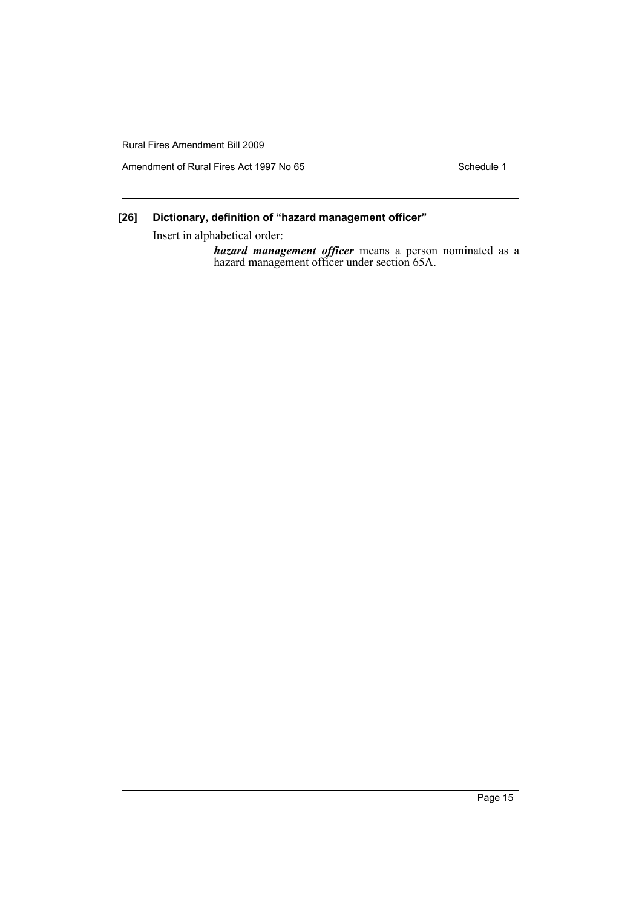Amendment of Rural Fires Act 1997 No 65 Schedule 1

# **[26] Dictionary, definition of "hazard management officer"**

Insert in alphabetical order:

*hazard management officer* means a person nominated as a hazard management officer under section 65A.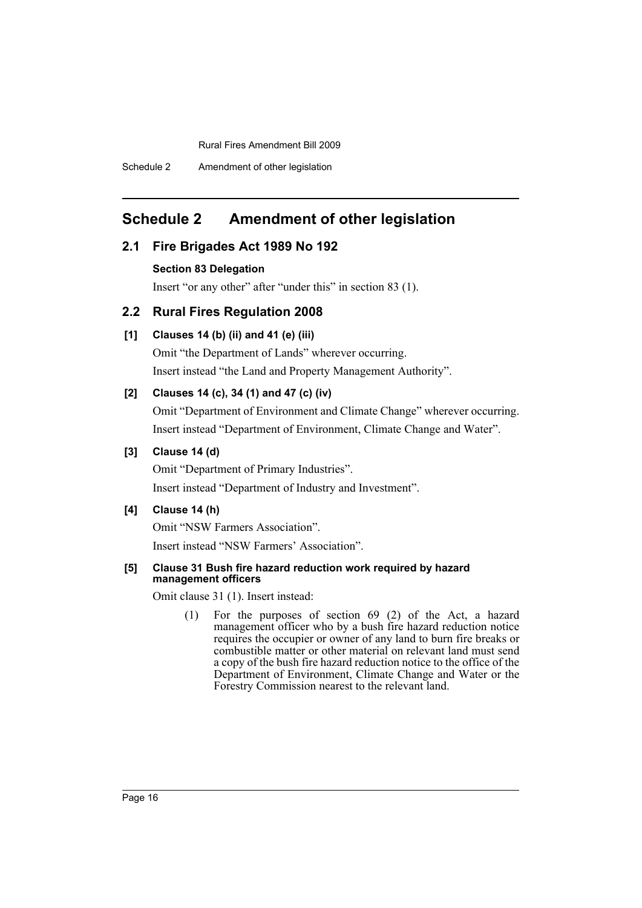Schedule 2 Amendment of other legislation

# <span id="page-16-0"></span>**Schedule 2 Amendment of other legislation**

## **2.1 Fire Brigades Act 1989 No 192**

#### **Section 83 Delegation**

Insert "or any other" after "under this" in section 83 (1).

## **2.2 Rural Fires Regulation 2008**

## **[1] Clauses 14 (b) (ii) and 41 (e) (iii)**

Omit "the Department of Lands" wherever occurring. Insert instead "the Land and Property Management Authority".

## **[2] Clauses 14 (c), 34 (1) and 47 (c) (iv)**

Omit "Department of Environment and Climate Change" wherever occurring. Insert instead "Department of Environment, Climate Change and Water".

## **[3] Clause 14 (d)**

Omit "Department of Primary Industries".

Insert instead "Department of Industry and Investment".

# **[4] Clause 14 (h)**

Omit "NSW Farmers Association".

Insert instead "NSW Farmers' Association".

#### **[5] Clause 31 Bush fire hazard reduction work required by hazard management officers**

Omit clause 31 (1). Insert instead:

(1) For the purposes of section 69 (2) of the Act, a hazard management officer who by a bush fire hazard reduction notice requires the occupier or owner of any land to burn fire breaks or combustible matter or other material on relevant land must send a copy of the bush fire hazard reduction notice to the office of the Department of Environment, Climate Change and Water or the Forestry Commission nearest to the relevant land.